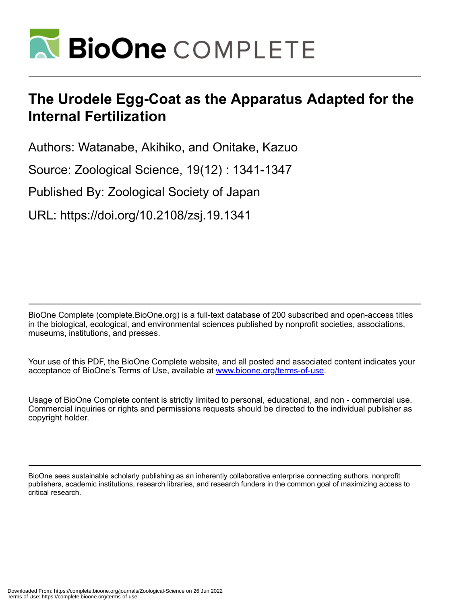

# **The Urodele Egg-Coat as the Apparatus Adapted for the Internal Fertilization**

Authors: Watanabe, Akihiko, and Onitake, Kazuo

Source: Zoological Science, 19(12) : 1341-1347

Published By: Zoological Society of Japan

URL: https://doi.org/10.2108/zsj.19.1341

BioOne Complete (complete.BioOne.org) is a full-text database of 200 subscribed and open-access titles in the biological, ecological, and environmental sciences published by nonprofit societies, associations, museums, institutions, and presses.

Your use of this PDF, the BioOne Complete website, and all posted and associated content indicates your acceptance of BioOne's Terms of Use, available at www.bioone.org/terms-of-use.

Usage of BioOne Complete content is strictly limited to personal, educational, and non - commercial use. Commercial inquiries or rights and permissions requests should be directed to the individual publisher as copyright holder.

BioOne sees sustainable scholarly publishing as an inherently collaborative enterprise connecting authors, nonprofit publishers, academic institutions, research libraries, and research funders in the common goal of maximizing access to critical research.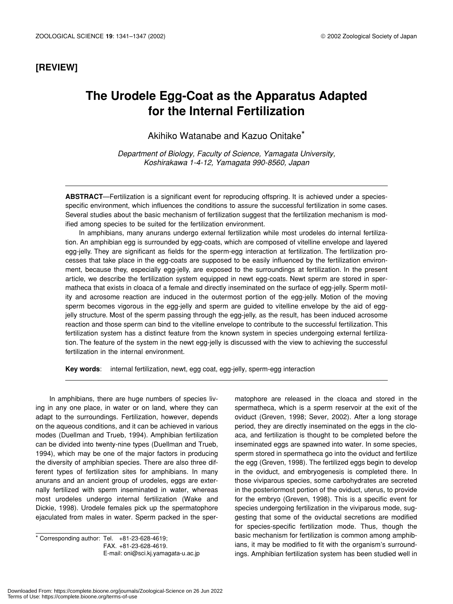### **[REVIEW]**

## **The Urodele Egg-Coat as the Apparatus Adapted for the Internal Fertilization**

Akihiko Watanabe and Kazuo Onitake\*

*Department of Biology, Faculty of Science, Yamagata University, Koshirakawa 1-4-12, Yamagata 990-8560, Japan*

**ABSTRACT**—Fertilization is a significant event for reproducing offspring. It is achieved under a speciesspecific environment, which influences the conditions to assure the successful fertilization in some cases. Several studies about the basic mechanism of fertilization suggest that the fertilization mechanism is modified among species to be suited for the fertilization environment.

In amphibians, many anurans undergo external fertilization while most urodeles do internal fertilization. An amphibian egg is surrounded by egg-coats, which are composed of vitelline envelope and layered egg-jelly. They are significant as fields for the sperm-egg interaction at fertilization. The fertilization processes that take place in the egg-coats are supposed to be easily influenced by the fertilization environment, because they, especially egg-jelly, are exposed to the surroundings at fertilization. In the present article, we describe the fertilization system equipped in newt egg-coats. Newt sperm are stored in spermatheca that exists in cloaca of a female and directly inseminated on the surface of egg-jelly. Sperm motility and acrosome reaction are induced in the outermost portion of the egg-jelly. Motion of the moving sperm becomes vigorous in the egg-jelly and sperm are guided to vitelline envelope by the aid of eggjelly structure. Most of the sperm passing through the egg-jelly, as the result, has been induced acrosome reaction and those sperm can bind to the vitelline envelope to contribute to the successful fertilization. This fertilization system has a distinct feature from the known system in species undergoing external fertilization. The feature of the system in the newt egg-jelly is discussed with the view to achieving the successful fertilization in the internal environment.

**Key words**: internal fertilization, newt, egg coat, egg-jelly, sperm-egg interaction

In amphibians, there are huge numbers of species living in any one place, in water or on land, where they can adapt to the surroundings. Fertilization, however, depends on the aqueous conditions, and it can be achieved in various modes (Duellman and Trueb, 1994). Amphibian fertilization can be divided into twenty-nine types (Duellman and Trueb, 1994), which may be one of the major factors in producing the diversity of amphibian species. There are also three different types of fertilization sites for amphibians. In many anurans and an ancient group of urodeles, eggs are externally fertilized with sperm inseminated in water, whereas most urodeles undergo internal fertilization (Wake and Dickie, 1998). Urodele females pick up the spermatophore ejaculated from males in water. Sperm packed in the sper-

 $*$  Corresponding author: Tel.  $+81-23-628-4619$ ; FAX. +81-23-628-4619. E-mail: oni@sci.kj.yamagata-u.ac.jp matophore are released in the cloaca and stored in the spermatheca, which is a sperm reservoir at the exit of the oviduct (Greven, 1998; Sever, 2002). After a long storage period, they are directly inseminated on the eggs in the cloaca, and fertilization is thought to be completed before the inseminated eggs are spawned into water. In some species, sperm stored in spermatheca go into the oviduct and fertilize the egg (Greven, 1998). The fertilized eggs begin to develop in the oviduct, and embryogenesis is completed there. In those viviparous species, some carbohydrates are secreted in the posteriormost portion of the oviduct, uterus, to provide for the embryo (Greven, 1998). This is a specific event for species undergoing fertilization in the viviparous mode, suggesting that some of the oviductal secretions are modified for species-specific fertilization mode. Thus, though the basic mechanism for fertilization is common among amphibians, it may be modified to fit with the organism's surroundings. Amphibian fertilization system has been studied well in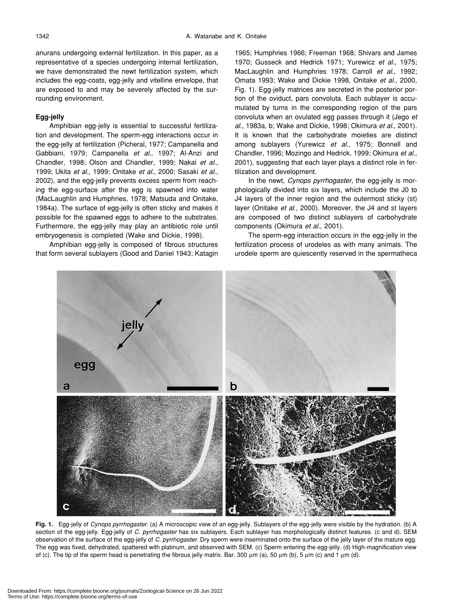anurans undergoing external fertilization. In this paper, as a representative of a species undergoing internal fertilization, we have demonstrated the newt fertilization system, which includes the egg-coats, egg-jelly and vitelline envelope, that are exposed to and may be severely affected by the surrounding environment.

#### **Egg-jelly**

Amphibian egg-jelly is essential to successful fertilization and development. The sperm-egg interactions occur in the egg-jelly at fertilization (Picheral, 1977; Campanella and Gabbiani, 1979; Campanella *et al*., 1997; Al-Anzi and Chandler, 1998; Olson and Chandler, 1999; Nakai *et al*., 1999; Ukita *et al*., 1999; Onitake *et al*., 2000; Sasaki *et al*., 2002), and the egg-jelly prevents excess sperm from reaching the egg-surface after the egg is spawned into water (MacLaughlin and Humphries, 1978; Matsuda and Onitake, 1984a). The surface of egg-jelly is often sticky and makes it possible for the spawned eggs to adhere to the substrates. Furthermore, the egg-jelly may play an antibiotic role until embryogenesis is completed (Wake and Dickie, 1998).

Amphibian egg-jelly is composed of fibrous structures that form several sublayers (Good and Daniel 1943; Katagin

1965; Humphries 1966; Freeman 1968; Shivars and James 1970; Gusseck and Hedrick 1971; Yurewicz *et al*., 1975; MacLaughlin and Humphries 1978; Carroll *et al*., 1992; Omata 1993; Wake and Dickie 1998, Onitake *et al*., 2000, Fig. 1). Egg-jelly matrices are secreted in the posterior portion of the oviduct, pars convoluta. Each sublayer is accumulated by turns in the corresponding region of the pars convoluta when an ovulated egg passes through it (Jego *et al*., 1983a, b; Wake and Dickie, 1998; Okimura *et al.*, 2001). It is known that the carbohydrate moieties are distinct among sublayers (Yurewicz *et al*., 1975; Bonnell and Chandler, 1996; Mozingo and Hedrick, 1999; Okimura *et al*., 2001), suggesting that each layer plays a distinct role in fertilization and development.

In the newt, *Cynops pyrrhogaster*, the egg-jelly is morphologically divided into six layers, which include the J0 to J4 layers of the inner region and the outermost sticky (st) layer (Onitake *et al*., 2000). Moreover, the J4 and st layers are composed of two distinct sublayers of carbohydrate components (Okimura *et al*., 2001).

The sperm-egg interaction occurs in the egg-jelly in the fertilization process of urodeles as with many animals. The urodele sperm are quiescently reserved in the spermatheca



**Fig. 1.** Egg-jelly of *Cynops pyrrhogaster*. (a) A microscopic view of an egg-jelly. Sublayers of the egg-jelly were visible by the hydration. (b) A section of the egg-jelly. Egg-jelly of *C. pyrrhogaster* has six sublayers. Each sublayer has morphologically distinct features. (c and d). SEM observation of the surface of the egg-jelly of *C. pyrrhogaster*. Dry sperm were inseminated onto the surface of the jelly layer of the mature egg. The egg was fixed, dehydrated, spattered with platinum, and observed with SEM. (c) Sperm entering the egg-jelly. (d) High-magnification view of (c). The tip of the sperm head is penetrating the fibrous jelly matrix. Bar. 300  $\mu$ m (a), 50  $\mu$ m (b), 5  $\mu$ m (c) and 1  $\mu$ m (d).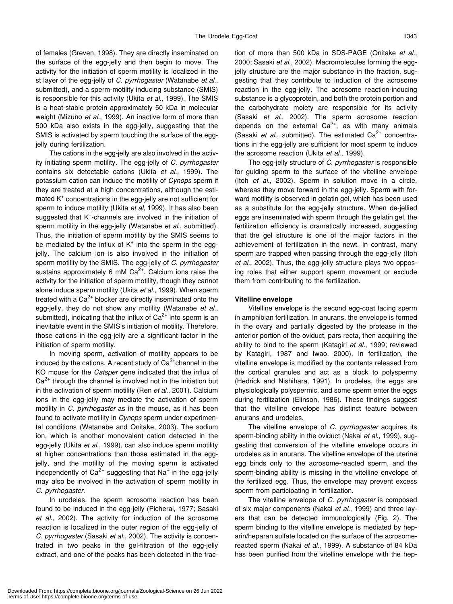of females (Greven, 1998). They are directly inseminated on the surface of the egg-jelly and then begin to move. The activity for the initiation of sperm motility is localized in the st layer of the egg-jelly of *C. pyrrhogaster* (Watanabe *et al*., submitted), and a sperm-motility inducing substance (SMIS) is responsible for this activity (Ukita *et al*., 1999). The SMIS is a heat-stable protein approximately 50 kDa in molecular weight (Mizuno *et al*., 1999). An inactive form of more than 500 kDa also exists in the egg-jelly, suggesting that the SMIS is activated by sperm touching the surface of the eggjelly during fertilization.

The cations in the egg-jelly are also involved in the activity initiating sperm motility. The egg-jelly of *C. pyrrhogaster* contains six detectable cations (Ukita *et al*., 1999). The potassium cation can induce the motility of *Cynops* sperm if they are treated at a high concentrations, although the estimated K<sup>+</sup> concentrations in the egg-jelly are not sufficient for sperm to induce motility (Ukita *et al*, 1999). It has also been suggested that K<sup>+</sup>-channels are involved in the initiation of sperm motility in the egg-jelly (Watanabe *et al*., submitted). Thus, the initiation of sperm motility by the SMIS seems to be mediated by the influx of  $K^+$  into the sperm in the eggjelly. The calcium ion is also involved in the initiation of sperm motility by the SMIS. The egg-jelly of *C. pyrrhogaster* sustains approximately 6 mM  $Ca<sup>2+</sup>$ . Calcium ions raise the activity for the initiation of sperm motility, though they cannot alone induce sperm motility (Ukita *et al*., 1999). When sperm treated with a  $Ca^{2+}$  blocker are directly inseminated onto the egg-jelly, they do not show any motility (Watanabe *et al.*, submitted), indicating that the influx of  $Ca<sup>2+</sup>$  into sperm is an inevitable event in the SMIS's initiation of motility. Therefore, those cations in the egg-jelly are a significant factor in the initiation of sperm motility.

In moving sperm, activation of motility appears to be induced by the cations. A recent study of  $Ca<sup>2+</sup>$ channel in the KO mouse for the *Catsper* gene indicated that the influx of  $Ca<sup>2+</sup>$  through the channel is involved not in the initiation but in the activation of sperm motility (Ren *et al*., 2001). Calcium ions in the egg-jelly may mediate the activation of sperm motility in *C. pyrrhogaster* as in the mouse, as it has been found to activate motility in *Cynops* sperm under experimental conditions (Watanabe and Onitake, 2003). The sodium ion, which is another monovalent cation detected in the egg-jelly (Ukita *et al*., 1999), can also induce sperm motility at higher concentrations than those estimated in the eggjelly, and the motility of the moving sperm is activated independently of  $Ca^{2+}$  suggesting that Na<sup>+</sup> in the egg-jelly may also be involved in the activation of sperm motility in *C. pyrrhogaster*.

In urodeles, the sperm acrosome reaction has been found to be induced in the egg-jelly (Picheral, 1977; Sasaki *et al*., 2002). The activity for induction of the acrosome reaction is localized in the outer region of the egg-jelly of *C. pyrrhogaster* (Sasaki *et al*., 2002). The activity is concentrated in two peaks in the gel-filtration of the egg-jelly extract, and one of the peaks has been detected in the fraction of more than 500 kDa in SDS-PAGE (Onitake *et al*., 2000; Sasaki *et al*., 2002). Macromolecules forming the eggjelly structure are the major substance in the fraction, suggesting that they contribute to induction of the acrosome reaction in the egg-jelly. The acrosome reaction-inducing substance is a glycoprotein, and both the protein portion and the carbohydrate moiety are responsible for its activity (Sasaki *et al*., 2002). The sperm acrosome reaction depends on the external  $Ca^{2+}$ , as with many animals (Sasaki *et al.*, submitted). The estimated  $Ca<sup>2+</sup>$  concentrations in the egg-jelly are sufficient for most sperm to induce the acrosome reaction (Ukita *et al*., 1999).

The egg-jelly structure of *C. pyrrhogaster* is responsible for guiding sperm to the surface of the vitelline envelope (Itoh *et al*., 2002). Sperm in solution move in a circle, whereas they move forward in the egg-jelly. Sperm with forward motility is observed in gelatin gel, which has been used as a substitute for the egg-jelly structure. When de-jellied eggs are inseminated with sperm through the gelatin gel, the fertilization efficiency is dramatically increased, suggesting that the gel structure is one of the major factors in the achievement of fertilization in the newt. In contrast, many sperm are trapped when passing through the egg-jelly (Itoh *et al*., 2002). Thus, the egg-jelly structure plays two opposing roles that either support sperm movement or exclude them from contributing to the fertilization.

#### **Vitelline envelope**

Vitelline envelope is the second egg-coat facing sperm in amphibian fertilization. In anurans, the envelope is formed in the ovary and partially digested by the protease in the anterior portion of the oviduct, pars recta, then acquiring the ability to bind to the sperm (Katagiri *et al*., 1999; reviewed by Katagiri, 1987 and Iwao, 2000). In fertilization, the vitelline envelope is modified by the contents released from the cortical granules and act as a block to polyspermy (Hedrick and Nishihara, 1991). In urodeles, the eggs are physiologically polyspermic, and some sperm enter the eggs during fertilization (Elinson, 1986). These findings suggest that the vitelline envelope has distinct feature between anurans and urodeles.

The vitelline envelope of *C. pyrrhogaster* acquires its sperm-binding ability in the oviduct (Nakai *et al*., 1999), suggesting that conversion of the vitelline envelope occurs in urodeles as in anurans. The vitelline envelope of the uterine egg binds only to the acrosome-reacted sperm, and the sperm-binding ability is missing in the vitelline envelope of the fertilized egg. Thus, the envelope may prevent excess sperm from participating in fertilization.

The vitelline envelope of *C. pyrrhogaster* is composed of six major components (Nakai *et al*., 1999) and three layers that can be detected immunologically (Fig. 2). The sperm binding to the vitelline envelope is mediated by heparin/heparan sulfate located on the surface of the acrosomereacted sperm (Nakai *et al*., 1999). A substance of 84 kDa has been purified from the vitelline envelope with the hep-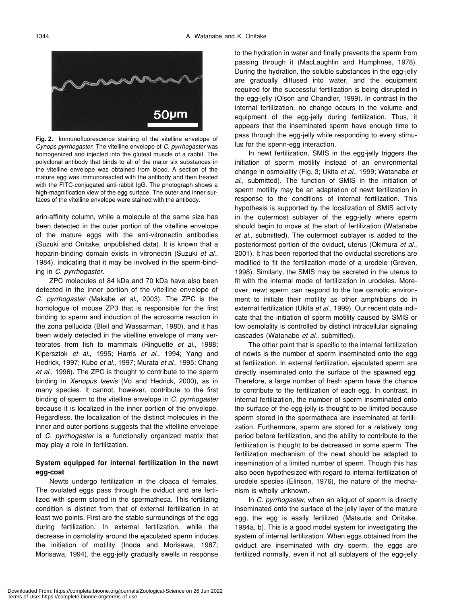

**Fig. 2.** Immunofluorescence staining of the vitelline envelope of *Cynops pyrrhogaster*. The vitelline envelope of *C. pyrrhogaster* was homogenized and injected into the gluteal muscle of a rabbit. The polyclonal antibody that binds to all of the major six substances in the vitelline envelope was obtained from blood. A section of the mature egg was immunoreacted with the antibody and then treated with the FITC-conjugated anti-rabbit IgG. The photograph shows a high-magnification view of the egg surface. The outer and inner surfaces of the vitelline envelope were stained with the antibody.

arin-affinity column, while a molecule of the same size has been detected in the outer portion of the vitelline envelope of the mature eggs with the anti-vitronectin antibodies (Suzuki and Onitake, unpublished data). It is known that a heparin-binding domain exists in vitronectin (Suzuki *et al*., 1984), indicating that it may be involved in the sperm-binding in *C. pyrrhogaster.*

ZPC molecules of 84 kDa and 70 kDa have also been detected in the inner portion of the vitelline envelope of *C. pyrrhogaster* (Makabe *et al*., 2003). The ZPC is the homologue of mouse ZP3 that is responsible for the first binding to sperm and induction of the acrosome reaction in the zona pellucida (Bleil and Wassarman, 1980), and it has been widely detected in the vitelline envelope of many vertebrates from fish to mammals (Ringuette *et al.*, 1988; Kipersztok *et al*., 1995; Harris *et al*., 1994; Yang and Hedrick, 1997; Kubo *et al*., 1997; Murata *et al*., 1995; Chang *et al*., 1996). The ZPC is thought to contribute to the sperm binding in *Xenopus laevis* (Vo and Hedrick, 2000), as in many species. It cannot, however, contribute to the first binding of sperm to the vitelline envelope in *C. pyrrhogaster* because it is localized in the inner portion of the envelope. Regardless, the localization of the distinct molecules in the inner and outer portions suggests that the vitelline envelope of *C. pyrrhogaster* is a functionally organized matrix that may play a role in fertilization.

#### **System equipped for internal fertilization in the newt egg-coat**

Newts undergo fertilization in the cloaca of females. The ovulated eggs pass through the oviduct and are fertilized with sperm stored in the spermatheca. This fertilizing condition is distinct from that of external fertilization in at least two points. First are the stable surroundings of the egg during fertilization. In external fertilization, while the decrease in osmolality around the ejaculated sperm induces the initiation of motility (Inoda and Morisawa, 1987; Morisawa, 1994), the egg-jelly gradually swells in response

to the hydration in water and finally prevents the sperm from passing through it (MacLaughlin and Humphnes, 1978). During the hydration, the soluble substances in the egg-jelly are gradually diffused into water, and the equipment required for the successful fertilization is being disrupted in the egg-jelly (Olson and Chandler, 1999). In contrast in the internal fertilization, no change occurs in the volume and equipment of the egg-jelly during fertilization. Thus, it appears that the inseminated sperm have enough time to pass through the egg-jelly while responding to every stimulus for the spenn-egg interaction.

In newt fertilization, SMIS in the egg-jelly triggers the initiation of sperm motility instead of an environmental change in osmolality (Fig. 3; Ukita *et al*., 1999; Watanabe *et al*., submitted). The function of SMIS in the initiation of sperm motility may be an adaptation of newt fertilization in response to the conditions of internal fertilization. This hypothesis is supported by the localization of SMIS activity in the outermost sublayer of the egg-jelly where sperm should begin to move at the start of fertilization (Watanabe *et al*., submitted). The outermost sublayer is added to the posteriormost portion of the oviduct, uterus (Okimura *et al*., 2001). It has been reported that the oviductal secretions are modified to fit the fertilization mode of a urodele (Greven, 1998). Similarly, the SMIS may be secreted in the uterus to fit with the internal mode of fertilization in urodeles. Moreover, newt sperm can respond to the low osmotic environment to initiate their motility as other amphibians do in external fertilization (Ukita *et al*., 1999). Our recent data indicate that the initiation of sperm motility caused by SMIS or low osmolality is controlled by distinct intracellular signaling cascades (Watanabe *et al*., submitted).

The other point that is specific to the internal fertilization of newts is the number of sperm inseminated onto the egg at fertilization. In external fertilization, ejaculated sperm are directly inseminated onto the surface of the spawned egg. Therefore, a large number of fresh sperm have the chance to contribute to the fertilization of each egg. In contrast, in internal fertilization, the number of sperm inseminated onto the surface of the egg-jelly is thought to be limited because sperm stored in the spermatheca are inseminated at fertilization. Furthermore, sperm are stored for a relatively long period before fertilization, and the ability to contribute to the fertilization is thought to be decreased in some sperm. The fertilization mechanism of the newt should be adapted to insemination of a limited number of sperm. Though this has also been hypothesized with regard to internal fertilization of urodele species (Elinson, 1976), the nature of the mechanism is wholly unknown.

In *C. pyrrhogaster*, when an aliquot of sperm is directly inseminated onto the surface of the jelly layer of the mature egg, the egg is easily fertilized (Matsuda and Onitake, 1984a, b). This is a good model system for investigating the system of internal fertilization. When eggs obtained from the oviduct are inseminated with dry sperm, the eggs are fertilized normally, even if not all sublayers of the egg-jelly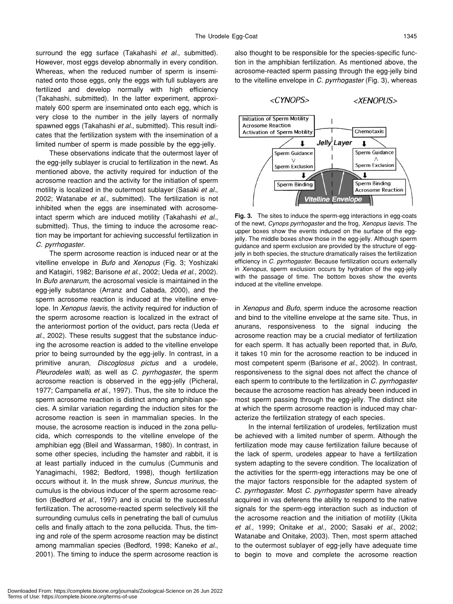surround the egg surface (Takahashi *et al*., submitted). However, most eggs develop abnormally in every condition. Whereas, when the reduced number of sperm is inseminated onto those eggs, only the eggs with full sublayers are fertilized and develop normally with high efficiency (Takahashi, submitted). In the latter experiment, approximately 600 sperm are inseminated onto each egg, which is very close to the number in the jelly layers of normally spawned eggs (Takahashi *et al*., submitted). This result indicates that the fertilization system with the insemination of a limited number of sperm is made possible by the egg-jelly.

These observations indicate that the outermost layer of the egg-jelly sublayer is crucial to fertilization in the newt. As mentioned above, the activity required for induction of the acrosome reaction and the activity for the initiation of sperm motility is localized in the outermost sublayer (Sasaki *et al*., 2002; Watanabe *et al*., submitted). The fertilization is not inhibited when the eggs are inseminated with acrosomeintact sperm which are induced motility (Takahashi *et al*., submitted). Thus, the timing to induce the acrosome reaction may be important for achieving successful fertilization in *C. pyrrhogaster.*

The sperm acrosome reaction is induced near or at the vitelline envelope in *Bufo* and *Xenopus* (Fig. 3; Yoshizaki and Katagiri, 1982; Barisone *et al*., 2002; Ueda *et al*., 2002). In *Bufo arenarum*, the acrosomal vesicle is maintained in the egg-jelly substance (Arranz and Cabada, 2000), and the sperm acrosome reaction is induced at the vitelline envelope. In *Xenopus Iaevis*, the activity required for induction of the sperm acrosome reaction is localized in the extract of the anteriormost portion of the oviduct, pars recta (Ueda *et al*., 2002). These results suggest that the substance inducing the acrosome reaction is added to the vitelline envelope prior to being surrounded by the egg-jelly. In contrast, in a primitive anuran, *Discoglosus pictus* and a urodele, *Pleurodeles walti*, as well as *C. pyrrhogaster*, the sperm acrosome reaction is observed in the egg-jelly (Picheral, 1977; Campanella *et al*., 1997). Thus, the site to induce the sperm acrosome reaction is distinct among amphibian species. A similar variation regarding the induction sites for the acrosome reaction is seen in mammalian species. In the mouse, the acrosome reaction is induced in the zona pellucida, which corresponds to the vitelline envelope of the amphibian egg (Bleil and Wassarman, 1980). In contrast, in some other species, including the hamster and rabbit, it is at least partially induced in the cumulus (Cummunis and Yanagimachi, 1982; Bedford, 1998), though fertilization occurs without it. In the musk shrew, *Suncus murinus*, the cumulus is the obvious inducer of the sperm acrosome reaction (Bedford *et al*., 1997) and is crucial to the successful fertilization. The acrosome-reacted sperm selectively kill the surrounding cumulus cells in penetrating the ball of cumulus cells and finally attach to the zona pellucida. Thus, the timing and role of the sperm acrosome reaction may be distinct among mammalian species (Bedford, 1998; Kaneko *et al*., 2001). The timing to induce the sperm acrosome reaction is

also thought to be responsible for the species-specific function in the amphibian fertilization. As mentioned above, the acrosome-reacted sperm passing through the egg-jelly bind to the vitelline envelope in *C. pyrrhogaster* (Fig. 3), whereas



**Fig. 3.** The sites to induce the sperm-egg interactions in egg-coats of the newt, *Cynops pyrrhogaster* and the frog, *Xenopus laevis*. The upper boxes show the events induced on the surface of the eggjelly. The middle boxes show those in the egg-jelly. Although sperm guidance and sperm exclusion are provided by the structure of eggjelly in both species, the structure dramatically raises the fertilization efficiency in *C. pyrrhogaster*. Because fertilization occurs externally in *Xenopus*, sperm exclusion occurs by hydration of the egg-jelly with the passage of time. The bottom boxes show the events induced at the vitelline envelope.

in *Xenopus* and *Bufo*, sperm induce the acrosome reaction and bind to the vitelline envelope at the same site. Thus, in anurans, responsiveness to the signal inducing the acrosome reaction may be a crucial mediator of fertilization for each sperm. It has actually been reported that, in *Bufo*, it takes 10 min for the acrosome reaction to be induced in most competent sperm (Barisone *et al*., 2002). In contrast, responsiveness to the signal does not affect the chance of each sperm to contribute to the fertilization in *C. pyrrhogaster* because the acrosome reaction has already been induced in most sperm passing through the egg-jelly. The distinct site at which the sperm acrosome reaction is induced may characterize the fertilization strategy of each species.

In the internal fertilization of urodeles, fertilization must be achieved with a limited number of sperm. Although the fertilization mode may cause fertilization failure because of the lack of sperm, urodeles appear to have a fertilization system adapting to the severe condition. The localization of the activities for the sperm-egg interactions may be one of the major factors responsible for the adapted system of *C. pyrrhogaster*. Most *C. pyrrhogaster* sperm have already acquired in vas deferens the ability to respond to the native signals for the sperm-egg interaction such as induction of the acrosome reaction and the initiation of motility (Ukita *et al*., 1999; Onitake *et al*., 2000; Sasaki *et al*., 2002; Watanabe and Onitake, 2003). Then, most sperm attached to the outermost sublayer of egg-jelly have adequate time to begin to move and complete the acrosome reaction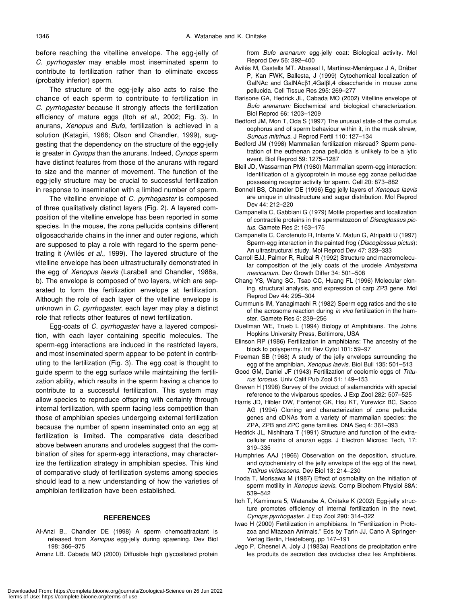before reaching the vitelline envelope. The egg-jelly of *C. pyrrhogaster* may enable most inseminated sperm to contribute to fertilization rather than to eliminate excess (probably inferior) sperm.

The structure of the egg-jelly also acts to raise the chance of each sperm to contribute to fertilization in *C. pyrrhogaster* because it strongly affects the fertilization efficiency of mature eggs (Itoh *et al*., 2002; Fig. 3). In anurans, *Xenopus* and *Bufo*, fertilization is achieved in a solution (Katagiri, 1966; Olson and Chandler, 1999), suggesting that the dependency on the structure of the egg-jelly is greater in *Cynops* than the anurans. Indeed, *Cynops* sperm have distinct features from those of the anurans with regard to size and the manner of movement. The function of the egg-jelly structure may be crucial to successful fertilization in response to insemination with a limited number of sperm.

The vitelline envelope of *C. pyrrhogaster* is composed of three qualitatively distinct layers (Fig. 2). A layered composition of the vitelline envelope has been reported in some species. In the mouse, the zona pellucida contains different oligosaccharide chains in the inner and outer regions, which are supposed to play a role with regard to the sperm penetrating it (Avilés *et al*., 1999). The layered structure of the vitelline envelope has been ultrastructurally demonstrated in the egg of *Xenopus laevis* (Larabell and Chandler, 1988a, b). The envelope is composed of two layers, which are separated to form the fertilization envelope at fertilization. Although the role of each layer of the vitelline envelope is unknown in *C. pyrrhogaster*, each layer may play a distinct role that reflects other features of newt fertilization.

Egg-coats of *C. pyrrhogaster* have a layered composition, with each layer containing specific molecules. The sperm-egg interactions are induced in the restricted layers, and most inseminated sperm appear to be potent in contributing to the fertilization (Fig. 3). The egg coat is thought to guide sperm to the egg surface while maintaining the fertilization ability, which results in the sperm having a chance to contribute to a successful fertilization. This system may allow species to reproduce offspring with certainty through internal fertilization, with sperm facing less competition than those of amphibian species undergoing external fertilization because the number of spenn inseminated onto an egg at fertilization is limited. The comparative data described above between anurans and urodeles suggest that the combination of sites for sperm-egg interactions, may characterize the fertilization strategy in amphibian species. This kind of comparative study of fertilization systems among species should lead to a new understanding of how the varieties of amphibian fertilization have been established.

#### **REFERENCES**

- Al-Anzi B., Chandler DE (1998) A sperm chemoattractant is released from *Xenopus* egg-jelly during spawning. Dev Biol 198: 366–375
- Arranz LB. Cabada MO (2000) Diffusible high glycosilated protein

from *Bufo arenarum* egg-jelly coat: Biological activity. Mol Reprod Dev 56: 392–400

- Avilés M, Castells MT. Abaseal I, Martínez-Menárguez J A, Dráber P, Kan FWK, Ballesta, J (1999) Cytochemical localization of GalNAc and GalNAcβ1,4Galβl,4 disaccharide in mouse zona pellucida. Cell Tissue Res 295: 269–277
- Barisone GA, Hedrick JL, Cabada MO (2002) Vitelline envelope of *Bufo arenarum:* Biochemical and biological characterization. Biol Reprod 66: 1203–1209
- Bedford JM, Mon T, Oda S (1997) The unusual state of the cumulus oophorus and of sperm behaviour within it, in the musk shrew, *Suncus mitrinus*. J Reprod Fertil 110: 127–134
- Bedford JM (1998) Mammalian fertilization misread? Sperm penetration of the euthenan zona pellucida is unlikely to be a lytic event. Biol Reprod 59: 1275–1287
- Bleil JD, Wassarman PM (1980) Mammalian sperm-egg interaction: Identification of a glycoprotein in mouse egg zonae pellucidae possessing receptor activity for sperm. Cell 20: 873–882
- Bonnell BS, Chandler DE (1996) Egg jelly layers of *Xenopus Iaevis* are unique in ultrastructure and sugar distribution. Mol Reprod Dev 44: 212–220
- Campanella C, Gabbiani G (1979) Motile properties and localization of contractile proteins in the spermatozoon of *Discoglossus pictus*. Gamete Res 2: 163–175
- Campanella C, Carotenuto R, Infante V. Matun G, Atripaldi U (1997) Sperm-egg interaction in the painted frog (*Discoglossus pictus*): An ultrastructural study. Mol Reprod Dev 47: 323–333
- Carroll EJJ, Palmer R, Ruibal R (1992) Structure and macromolecular composition of the jelly coats of the urodele *Ambystoma mexicanum.* Dev Growth Differ 34: 501–508
- Chang YS, Wang SC, Tsao CC, Huang FL (1996) Molecular cloning, structural analysis, and expression of carp ZP3 gene. Mol Reprod Dev 44: 295–304
- Cummunis IM, Yanagimachi R (1982) Sperm egg ratios and the site of the acrosome reaction during *in vivo* fertilization in the hamster. Gamete Res 5: 239–256
- Duellman WE, Trueb L (1994) Biology of Amphibians. The Johns Hopkins University Press, Boltimore, USA
- Elinson RP (1986) Fertilization in amphibians: The ancestry of the block to polyspermy. Int Rev Cytol 101: 59–97
- Freeman SB (1968) A study of the jelly envelops surrounding the egg of the amphibian, *Xenopus laevis*. Biol Bull 135: 501–513
- Good GM, Daniel JF (1943) Fertilization of coelomic eggs of *Triturus torosus*. Univ Calif Pub Zool 51: 149–153
- Greven H (1998) Survey of the oviduct of salamandrids with special reference to the viviparous species. J Exp Zool 282: 507–525
- Harris JD, Hibler DW, Fontenot GK, Hsu KT, Yurewicz BC, Sacco AG (1994) Cloning and characterization of zona pellucida genes and cDNAs from a variety of mammalian species: the ZPA, ZPB and ZPC gene families. DNA Seq 4: 361–393
- Hedrick JL, Nishihara T (1991) Structure and function of the extracellular matrix of anuran eggs. J Electron Microsc Tech, 17: 319–335
- Humphries AAJ (1966) Observation on the deposition, structure, and cytochemistry of the jelly envelope of the egg of the newt, *Tntiirus viridescens*. Dev Biol 13: 214–230
- Inoda T, Morisawa M (1987) Effect of osmolality on the initiation of sperm motility in *Xenopus laevis*. Comp Biochem Physiol 88A: 539–542
- Itoh T, Kamimura 5, Watanabe A, Onitake K (2002) Egg-jelly structure promotes efficiency of internal fertilization in the newt, *Cynops pyrrhogaster*. J Exp Zool 290: 314–322
- Iwao H (2000) Fertilization in amphibians. In "Fertilization in Protozoa and Mtazoan Animals." Eds by Tarin JJ, Cano A Springer-Verlag Berlin, Heidelberg, pp 147–191
- Jego P, Chesnel A, Joly J (1983a) Reactions de precipitation entre les produits de secretion des oviductes chez les Amphibiens.